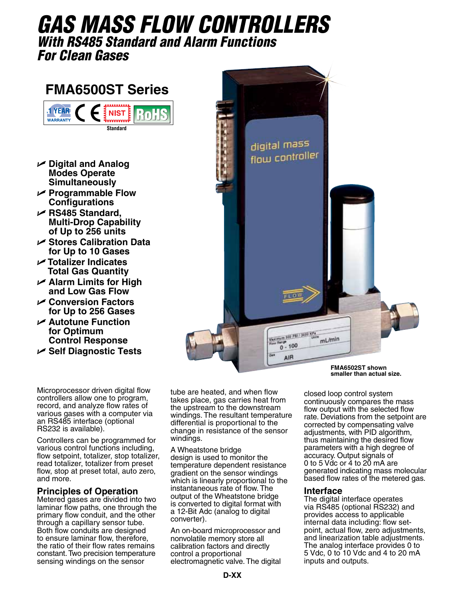# *gas Mass Flow Controllers With RS485 Standard and Alarm Functions For Clean Gases*

# **FMA6500ST Series**



- U **Digital and Analog Modes Operate Simultaneously**
- U **Programmable Flow Configurations**
- U **RS485 Standard, Multi-Drop Capability of Up to 256 units**
- U **Stores Calibration Data for Up to 10 Gases**
- U **Totalizer Indicates Total Gas Quantity**
- U **Alarm Limits for High and Low Gas Flow**
- U **Conversion Factors for Up to 256 Gases**
- U **Autotune Function for Optimum Control Response**
- U **Self Diagnostic Tests**

Microprocessor driven digital flow controllers allow one to program, record, and analyze flow rates of various gases with a computer via an RS485 interface (optional RS232 is available).

Controllers can be programmed for various control functions including, flow setpoint, totalizer, stop totalizer, read totalizer, totalizer from preset flow, stop at preset total, auto zero, and more.

## **Principles of Operation**

Metered gases are divided into two laminar flow paths, one through the primary flow conduit, and the other through a capillary sensor tube. Both flow conduits are designed to ensure laminar flow, therefore, the ratio of their flow rates remains constant. Two precision temperature sensing windings on the sensor

tube are heated, and when flow takes place, gas carries heat from the upstream to the downstream windings. The resultant temperature differential is proportional to the change in resistance of the sensor windings.

A Wheatstone bridge design is used to monitor the temperature dependent resistance gradient on the sensor windings which is linearly proportional to the instantaneous rate of flow. The output of the Wheatstone bridge is converted to digital format with a 12-Bit Adc (analog to digital converter).

An on-board microprocessor and nonvolatile memory store all calibration factors and directly control a proportional electromagnetic valve. The digital **FMA6502ST shown smaller than actual size.**

closed loop control system continuously compares the mass flow output with the selected flow rate. Deviations from the setpoint are corrected by compensating valve adjustments, with PID algorithm, thus maintaining the desired flow parameters with a high degree of accuracy. Output signals of 0 to 5 Vdc or 4 to 20 mA are generated indicating mass molecular based flow rates of the metered gas.

#### **Interface**

The digital interface operates via RS485 (optional RS232) and provides access to applicable internal data including: flow setpoint, actual flow, zero adjustments, and linearization table adjustments. The analog interface provides 0 to 5 Vdc, 0 to 10 Vdc and 4 to 20 mA inputs and outputs.

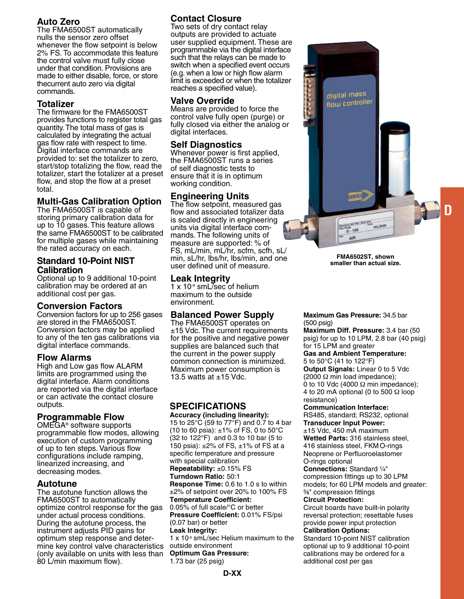# **Auto Zero**

The FMA6500ST automatically nulls the sensor zero offset whenever the flow setpoint is below 2% FS. To accommodate this feature the control valve must fully close under that condition. Provisions are made to either disable, force, or store thecurrent auto zero via digital commands.

# **Totalizer**

The firmware for the FMA6500ST provides functions to register total gas quantity. The total mass of gas is calculated by integrating the actual gas flow rate with respect to time. Digital interface commands are provided to: set the totalizer to zero, start/stop totalizing the flow, read the totalizer, start the totalizer at a preset flow, and stop the flow at a preset total.

# **Multi-Gas Calibration Option**

The FMA6500ST is capable of storing primary calibration data for up to 10 gases. This feature allows the same FMA6500ST to be calibrated for multiple gases while maintaining the rated accuracy on each.

#### **Standard 10-Point NIST Calibration**

Optional up to 9 additional 10-point calibration may be ordered at an additional cost per gas.

## **Conversion Factors**

Conversion factors for up to 256 gases are stored in the FMA6500ST. Conversion factors may be applied to any of the ten gas calibrations via digital interface commands.

## **Flow Alarms**

High and Low gas flow ALARM limits are programmed using the digital interface. Alarm conditions are reported via the digital interface or can activate the contact closure outputs.

## **Programmable Flow**

OMEGA® software supports programmable flow modes, allowing execution of custom programming of up to ten steps. Various flow configurations include ramping, linearized increasing, and decreasing modes.

#### **Autotune**

The autotune function allows the FMA6500ST to automatically optimize control response for the gas under actual process conditions. During the autotune process, the instrument adjusts PID gains for optimum step response and deter- mine key control valve characteristics (only available on units with less than 80 L/min maximum flow).

# **Contact Closure**

Two sets of dry contact relay outputs are provided to actuate user supplied equipment. These are programmable via the digital interface such that the relays can be made to switch when a specified event occurs (e.g. when a low or high flow alarm limit is exceeded or when the totalizer reaches a specified value).

#### **Valve Override**

Means are provided to force the control valve fully open (purge) or fully closed via either the analog or digital interfaces.

## **Self Diagnostics**

Whenever power is first applied, the FMA6500ST runs a series of self diagnostic tests to ensure that it is in optimum working condition.

# **Engineering Units**

The flow setpoint, measured gas flow and associated totalizer data is scaled directly in engineering units via digital interface commands. The following units of measure are supported: % of FS, mL/min, mL/hr, scfm, scfh, sL/ min, sL/hr, lbs/hr, lbs/min, and one user defined unit of measure.

#### **Leak Integrity**

1 x 10-9 smL/sec of helium maximum to the outside environment.

## **Balanced Power Supply**

The FMA6500ST operates on ±15 Vdc. The current requirements for the positive and negative power supplies are balanced such that the current in the power supply common connection is minimized. Maximum power consumption is 13.5 watts at  $\pm$ 15 Vdc.

# **Specifications**

**Accuracy (including linearity):** 15 to 25°C (59 to 77°F) and 0.7 to 4 bar (10 to 60 psia):  $\pm$ 1% of FS, 0 to 50 $^{\circ}$ C (32 to 122°F) and 0.3 to 10 bar (5 to 150 psia): ±2% of FS, ±1% of FS at a specific temperature and pressure with special calibration

**Repeatability:** ±0.15% FS **Turndown Ratio:** 50:1

**Response Time:** 0.6 to 1.0 s to within ±2% of setpoint over 20% to 100% FS **Temperature Coefficient:**

0.05% of full scale/°C or better **Pressure Coefficient:** 0.01% FS/psi (0.07 bar) or better

#### **Leak Integrity:**

1 x 10-9 smL/sec Helium maximum to the outside environment

**Optimum Gas Pressure:** 1.73 bar (25 psig)



**FMA6502ST, shown smaller than actual size.**

#### **Maximum Gas Pressure:** 34.5 bar (500 psig)

**Maximum Diff. Pressure:** 3.4 bar (50 psig) for up to 10 LPM, 2.8 bar (40 psig) for 15 LPM and greater

**Gas and Ambient Temperature:** 5 to 50°C (41 to 122°F)

**Output Signals:** Linear 0 to 5 Vdc (2000  $\Omega$  min load impedance); 0 to 10 Vdc (4000  $\Omega$  min impedance); 4 to 20 mA optional (0 to 500  $\Omega$  loop resistance)

#### **Communication Interface:**

RS485, standard; RS232, optional **Transducer Input Power:**  $±15$  Vdc, 450 mA maximum **Wetted Parts:** 316 stainless steel, 416 stainless steel, FKMO-rings Neoprene or Perfluoroelastomer

#### O-rings optional

**Connections:** Standard 1/4" compression fittings up to 30 LPM models; for 60 LPM models and greater: ³⁄₈" compression fittings

#### **Circuit Protection:**

Circuit boards have built-in polarity reversal protection; resettable fuses provide power input protection

#### **Calibration Options:**

Standard 10-point NIST calibration optional up to 9 additional 10-point calibrations may be ordered for a additional cost per gas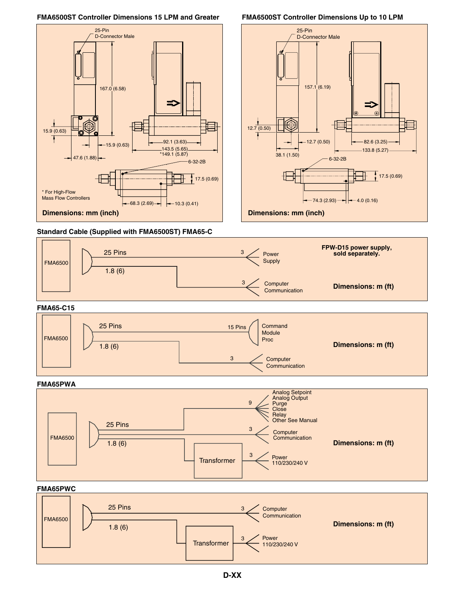#### **FMA6500ST Controller Dimensions 15 LPM and Greater FMA6500ST Controller Dimensions Up to 10 LPM**





**Standard Cable (Supplied with FMA6500ST) FMA65-C**



#### **FMA65-C15**



#### **FMA65PWA**



#### **FMA65PWC**